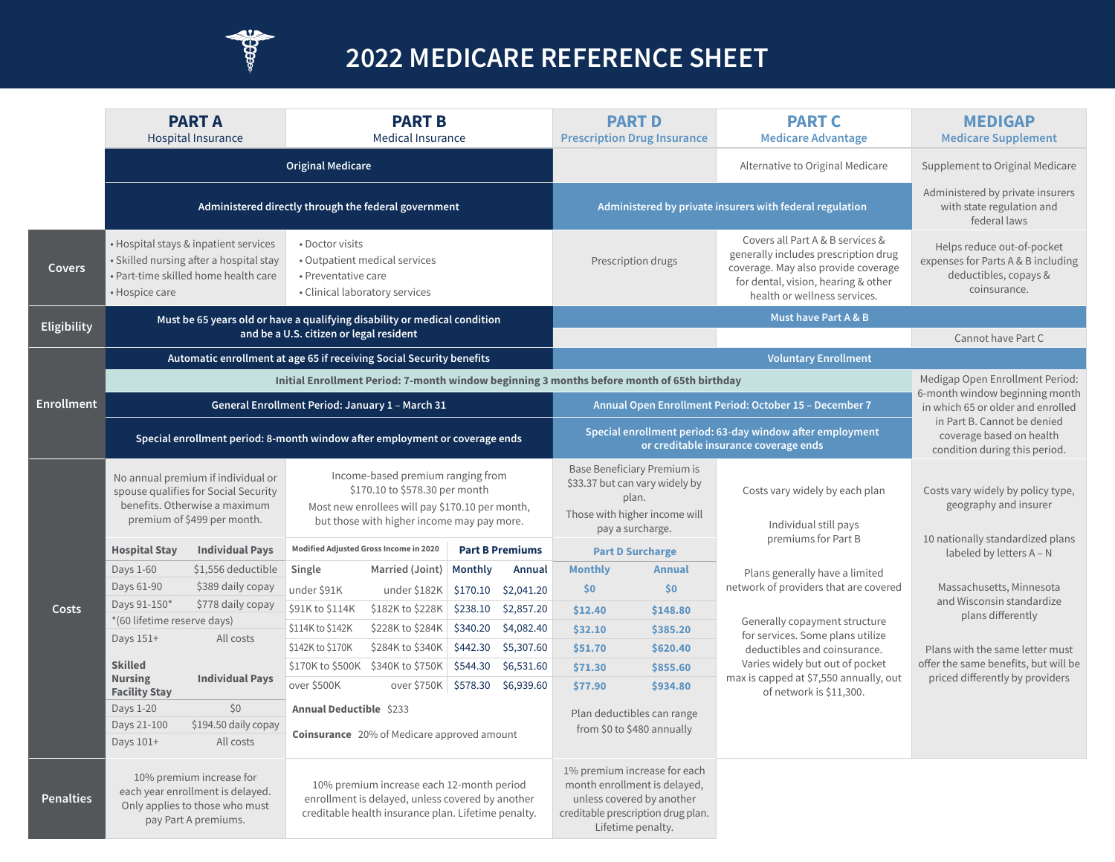

# **2022 MEDICARE REFERENCE SHEET**

|                   |                                                                                                                                                                                                                                                                                                                    | <b>PART A</b><br><b>Hospital Insurance</b>                                                                               |                                                                  | <b>PART B</b><br><b>Medical Insurance</b>                                                                                                            |                                                          |                                  |                                                                                                    | <b>PART D</b><br><b>Prescription Drug Insurance</b>                                                                                                  | <b>PART C</b><br><b>Medicare Advantage</b>                                                                                                                                             | <b>MEDIGAP</b><br><b>Medicare Supplement</b>                                                                                                                    |
|-------------------|--------------------------------------------------------------------------------------------------------------------------------------------------------------------------------------------------------------------------------------------------------------------------------------------------------------------|--------------------------------------------------------------------------------------------------------------------------|------------------------------------------------------------------|------------------------------------------------------------------------------------------------------------------------------------------------------|----------------------------------------------------------|----------------------------------|----------------------------------------------------------------------------------------------------|------------------------------------------------------------------------------------------------------------------------------------------------------|----------------------------------------------------------------------------------------------------------------------------------------------------------------------------------------|-----------------------------------------------------------------------------------------------------------------------------------------------------------------|
|                   |                                                                                                                                                                                                                                                                                                                    | <b>Original Medicare</b>                                                                                                 |                                                                  |                                                                                                                                                      |                                                          | Alternative to Original Medicare | Supplement to Original Medicare                                                                    |                                                                                                                                                      |                                                                                                                                                                                        |                                                                                                                                                                 |
|                   | Administered directly through the federal government                                                                                                                                                                                                                                                               |                                                                                                                          |                                                                  |                                                                                                                                                      | Administered by private insurers with federal regulation |                                  |                                                                                                    | Administered by private insurers<br>with state regulation and<br>federal laws                                                                        |                                                                                                                                                                                        |                                                                                                                                                                 |
| <b>Covers</b>     | • Hospice care                                                                                                                                                                                                                                                                                                     | · Hospital stays & inpatient services<br>· Skilled nursing after a hospital stay<br>· Part-time skilled home health care | • Doctor visits<br>• Preventative care                           | • Outpatient medical services<br>• Clinical laboratory services                                                                                      |                                                          |                                  |                                                                                                    | Prescription drugs                                                                                                                                   | Covers all Part A & B services &<br>generally includes prescription drug<br>coverage. May also provide coverage<br>for dental, vision, hearing & other<br>health or wellness services. | Helps reduce out-of-pocket<br>expenses for Parts A & B including<br>deductibles, copays &<br>coinsurance.                                                       |
| Eligibility       |                                                                                                                                                                                                                                                                                                                    | Must be 65 years old or have a qualifying disability or medical condition                                                |                                                                  |                                                                                                                                                      |                                                          |                                  |                                                                                                    |                                                                                                                                                      | Must have Part A & B                                                                                                                                                                   |                                                                                                                                                                 |
|                   |                                                                                                                                                                                                                                                                                                                    |                                                                                                                          | and be a U.S. citizen or legal resident                          |                                                                                                                                                      |                                                          |                                  |                                                                                                    |                                                                                                                                                      |                                                                                                                                                                                        | Cannot have Part C                                                                                                                                              |
|                   | Automatic enrollment at age 65 if receiving Social Security benefits                                                                                                                                                                                                                                               |                                                                                                                          |                                                                  |                                                                                                                                                      |                                                          |                                  |                                                                                                    |                                                                                                                                                      | <b>Voluntary Enrollment</b>                                                                                                                                                            |                                                                                                                                                                 |
|                   |                                                                                                                                                                                                                                                                                                                    |                                                                                                                          |                                                                  |                                                                                                                                                      |                                                          |                                  |                                                                                                    | Initial Enrollment Period: 7-month window beginning 3 months before month of 65th birthday                                                           |                                                                                                                                                                                        | Medigap Open Enrollment Period:                                                                                                                                 |
| <b>Enrollment</b> | General Enrollment Period: January 1 - March 31                                                                                                                                                                                                                                                                    |                                                                                                                          |                                                                  |                                                                                                                                                      |                                                          |                                  | Annual Open Enrollment Period: October 15 - December 7                                             |                                                                                                                                                      |                                                                                                                                                                                        | 6-month window beginning month<br>in which 65 or older and enrolled<br>in Part B. Cannot be denied<br>coverage based on health<br>condition during this period. |
|                   | Special enrollment period: 8-month window after employment or coverage ends                                                                                                                                                                                                                                        |                                                                                                                          |                                                                  |                                                                                                                                                      |                                                          |                                  | Special enrollment period: 63-day window after employment<br>or creditable insurance coverage ends |                                                                                                                                                      |                                                                                                                                                                                        |                                                                                                                                                                 |
|                   | Income-based premium ranging from<br>No annual premium if individual or<br>\$170.10 to \$578.30 per month<br>spouse qualifies for Social Security<br>benefits. Otherwise a maximum<br>Most new enrollees will pay \$170.10 per month,<br>premium of \$499 per month.<br>but those with higher income may pay more. |                                                                                                                          |                                                                  |                                                                                                                                                      |                                                          |                                  |                                                                                                    | Base Beneficiary Premium is<br>\$33.37 but can vary widely by<br>plan.<br>Those with higher income will<br>pay a surcharge.                          | Costs vary widely by each plan<br>Individual still pays                                                                                                                                | Costs vary widely by policy type,<br>geography and insurer<br>10 nationally standardized plans<br>labeled by letters A - N                                      |
|                   | <b>Hospital Stay</b><br><b>Individual Pays</b>                                                                                                                                                                                                                                                                     |                                                                                                                          | Modified Adjusted Gross Income in 2020<br><b>Part B Premiums</b> |                                                                                                                                                      |                                                          | <b>Part D Surcharge</b>          |                                                                                                    | premiums for Part B                                                                                                                                  |                                                                                                                                                                                        |                                                                                                                                                                 |
|                   | Days 1-60                                                                                                                                                                                                                                                                                                          | \$1,556 deductible                                                                                                       | Single                                                           | Married (Joint)                                                                                                                                      | <b>Monthly</b>                                           | Annual                           | <b>Monthly</b>                                                                                     | <b>Annual</b>                                                                                                                                        | Plans generally have a limited                                                                                                                                                         |                                                                                                                                                                 |
|                   | Days 61-90                                                                                                                                                                                                                                                                                                         | \$389 daily copay                                                                                                        | under \$91K                                                      | under \$182K                                                                                                                                         | \$170.10                                                 | \$2,041.20                       | \$0                                                                                                | \$0\$                                                                                                                                                | network of providers that are covered                                                                                                                                                  | Massachusetts, Minnesota                                                                                                                                        |
| <b>Costs</b>      | Days 91-150*                                                                                                                                                                                                                                                                                                       | \$778 daily copay                                                                                                        | \$91K to \$114K                                                  | \$182K to \$228K                                                                                                                                     | \$238.10                                                 | \$2,857.20                       | \$12.40                                                                                            | \$148.80                                                                                                                                             |                                                                                                                                                                                        | and Wisconsin standardize<br>plans differently                                                                                                                  |
|                   | *(60 lifetime reserve days)<br>Days 151+<br>All costs                                                                                                                                                                                                                                                              |                                                                                                                          | \$114K to \$142K                                                 | \$228K to \$284K                                                                                                                                     | \$340.20                                                 | \$4,082.40                       | \$32.10                                                                                            | \$385.20                                                                                                                                             | Generally copayment structure<br>for services. Some plans utilize                                                                                                                      |                                                                                                                                                                 |
|                   |                                                                                                                                                                                                                                                                                                                    |                                                                                                                          | \$142K to \$170K                                                 | \$284K to \$340K                                                                                                                                     | \$442.30                                                 | \$5,307.60                       | \$51.70                                                                                            | \$620.40                                                                                                                                             | deductibles and coinsurance.                                                                                                                                                           | Plans with the same letter must<br>offer the same benefits, but will be<br>priced differently by providers                                                      |
|                   | <b>Skilled</b><br><b>Nursing</b><br><b>Facility Stay</b>                                                                                                                                                                                                                                                           | <b>Individual Pays</b>                                                                                                   |                                                                  | \$170K to \$500K \$340K to \$750K                                                                                                                    |                                                          | \$544.30 \$6,531.60              | \$71.30                                                                                            | \$855.60                                                                                                                                             | Varies widely but out of pocket<br>max is capped at \$7,550 annually, out                                                                                                              |                                                                                                                                                                 |
|                   |                                                                                                                                                                                                                                                                                                                    |                                                                                                                          | over \$500K                                                      | over \$750K \$578.30 \$6,939.60                                                                                                                      |                                                          |                                  | \$77.90                                                                                            | \$934.80                                                                                                                                             | of network is \$11,300.                                                                                                                                                                |                                                                                                                                                                 |
|                   | Days 1-20                                                                                                                                                                                                                                                                                                          | \$0                                                                                                                      | Annual Deductible \$233                                          |                                                                                                                                                      |                                                          |                                  | Plan deductibles can range                                                                         |                                                                                                                                                      |                                                                                                                                                                                        |                                                                                                                                                                 |
|                   | \$194.50 daily copay<br>Days 21-100<br><b>Coinsurance</b> 20% of Medicare approved amount<br>All costs<br>Days 101+                                                                                                                                                                                                |                                                                                                                          |                                                                  |                                                                                                                                                      | from \$0 to \$480 annually                               |                                  |                                                                                                    |                                                                                                                                                      |                                                                                                                                                                                        |                                                                                                                                                                 |
| <b>Penalties</b>  | 10% premium increase for<br>each year enrollment is delayed.<br>Only applies to those who must<br>pay Part A premiums.                                                                                                                                                                                             |                                                                                                                          |                                                                  | 10% premium increase each 12-month period<br>enrollment is delayed, unless covered by another<br>creditable health insurance plan. Lifetime penalty. |                                                          |                                  |                                                                                                    | 1% premium increase for each<br>month enrollment is delayed,<br>unless covered by another<br>creditable prescription drug plan.<br>Lifetime penalty. |                                                                                                                                                                                        |                                                                                                                                                                 |